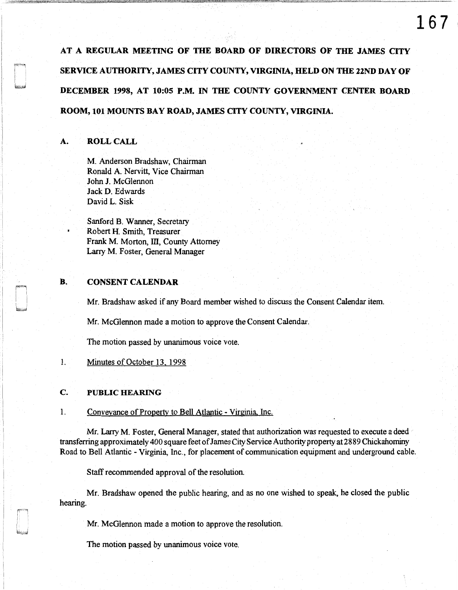AT A REGULAR MEETING OF THE BOARD OF DIRECTORS OF THE JAMES CITY SERVICE AUTHORITY, JAMES CITY COUNTY, VIRGINIA, HELD ON THE 22ND DAY OF DECEMBER 1998, AT 10:05 P.M. IN THE COUNTY GOVERNMENT CENTER BOARD ROOM, 101 MOUNTS BAY ROAD, JAMES CITY COUNTY, VIRGINIA.

## A. ROLL CALL

M. Anderson Bradshaw, Chairman Ronald A. Nervitt, Vice Chairman John J. McGlennon Jack D. Edwards David L. Sisk

Sanford B. Wanner, Secretary Robert H. Smith, Treasurer Frank M. Morton, III, County Attorney Larry M. Foster, General Manager

#### B. CONSENT CALENDAR

Mr. Bradshaw asked if any Board member wished to discuss the Consent Calendar item.

Mr. McGlennon made a motion to approve the Consent Calendar.

The motion passed by unanimous voice vote.

1. Minutes of October 13. 1998

### C. PUBLIC HEARING

I I • 1  $\mathbf{I}$ 

 $\overline{\phantom{a}}$ 

#### 1. Conveyance of Property to Bell Atlantic - Virginia Inc.

Mr. Larry M. Foster, General Manager, stated that authorization was requested to execute a deed transferring approximately 400 square feet of James City Service Authority property at 2889 Chickahominy Road to Bell Atlantic - Virginia, Inc., for placement of communication equipment and underground cable.

Staff recommended approval of the resolution.

Mr. Bradshaw opened the public hearing, and as no one wished to speak, he closed the public hearing.

Mr. McGlennon made a motion to approve the resolution.

The motion passed by unanimous voice vote.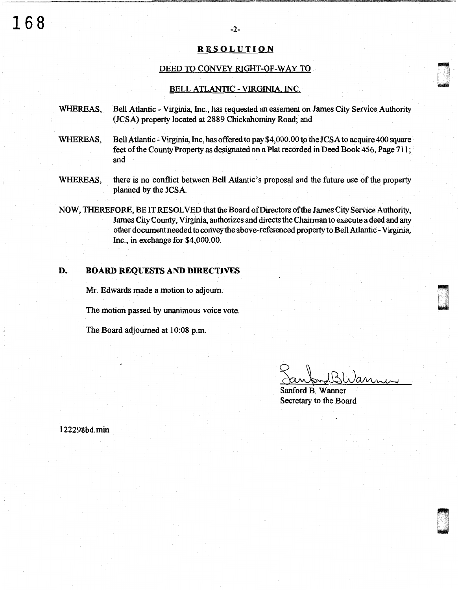# RESOLUTION

### DEED TO CONVEY RIGHT-OF-WAY TO

#### BELL ATLANTIC - VIRGINIA. INC.

- WHEREAS, Bell Atlantic Virginia, Inc., has requested an easement on James City Service Authority (JCSA) property located at 2889 Chickahominy Road; and
- WHEREAS, Bell Atlantic Virginia, Inc, has offered to pay \$4,000.00 to the JCSA to acquire 400 square feet of the County Property as designated on a Plat recorded in Deed Book 456, Page 711; and
- WHEREAS, there is no conflict between Bell Atlantic's proposal and the future use of the property planned by the JCSA.
- NOW, THEREFORE, BE IT RESOLVED that the Board of Directors of the James City Service Authority, James City County, Virginia, authorizes and directs the Chairman to execute a deed and any other document needed to convey the above-referenced property to Bell Atlantic - Virginia, Inc., in exchange for \$4,000.00.

# D. BOARD REQUESTS AND DIRECTIVES

Mr. Edwards made a motion to adjourn.

The motion passed by unanimous voice vote.

The Board adjourned at 10:08 p.m.

Sanford BWanner

 $\blacksquare$ u<br>und

n under<br>Broadway<br>New World

ri u

Secretary to the Board

122298bd.min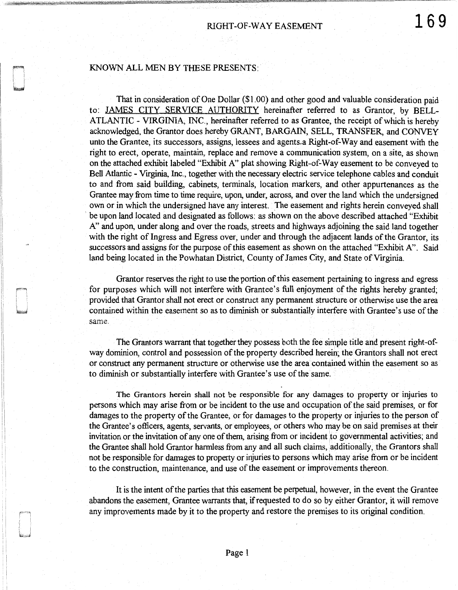## KNOWN ALL MEN BY THESE PRESENTS:

That in consideration of One Dollar (\$1.00) and other good and valuable consideration paid to: JAMES CITY SERVICE AUTHORITY hereinafter referred to as Grantor, by BELL-ATLANTIC - VIRGINIA, INC., hereinafter referred to as Grantee, the receipt of which is hereby acknowledged, the Grantor does hereby GRANT, BARGAIN, SELL, TRANSFER, and CONVEY unto the Grantee, its successors, assigns, lessees and agents,a Right-of-Way and easement with the right to erect, operate, maintain, replace and remove a communication system, on a site, as shown on the attached exhibit labeled "Exhibit A" plat showing Right-of-Way easement to be conveyed to Bell Atlantic - Virginia, Inc., together with the necessary electric service telephone cables and conduit to and from said building, cabinets, terminals, location markers, and other appurtenances as the Grantee may from time to time require, upon, under, across, and over the land which the undersigned own or in which the undersigned have any interest. The easement and rights herein conveyed shall be upon land located and designated as follows: as shown on the above described attached "Exhibit A" and upon, under along and over the roads, streets and highways adjoining the said land together with the right of Ingress and Egress over, under and through the adjacent lands of the Grantor, its successors and assigns for the purpose of this easement as shown on the attached "Exhibit A". Said land being located in the Powhatan District, County of James City, and State of Virginia.

Grantor reserves the right to use the portion of this easement pertaining to ingress and egress for purposes which will not interfere with Grantee's full enjoyment of the rights hereby granted; provided that Grantor shall not erect or construct any permanent structure or otherwise use the area contained within the easement so as to diminish or substantially interfere with Grantee's use of the same.

The Grantors warrant that together they possess both the fee simple title and present right-ofway dominion, control and possession of the property described herein; the Granters shall not erect or construct any permanent structure or otherwise use the area contained within the easement so as to diminish or substantially interfere with Grantee's use of the same.

The Grantors herein shall not be responsible for any damages to property or injuries to persons which may arise from or be incident to the use and occupation of the said premises, or for damages to the property of the Grantee, or for damages to the property or injuries to the person of the Grantee's officers, agents, servants, or employees, or others who may be on said premises at their invitation or the invitation of any one of them, arising from or incident to governmental activities; and the Grantee shall hold Grantor harmless from any and all such claims, additionally, the Grantors shall not be responsible for damages to property or injuries to persons which may arise from or be incident to the construction, maintenance, and use of the easement or improvements thereon.

It is the intent of the parties that this easement be perpetual, however, in the event the Grantee abandons the easement, Grantee warrants that, if requested to do so by either Grantor, it will remove any improvements made by it to the property and restore the premises to its original condition.